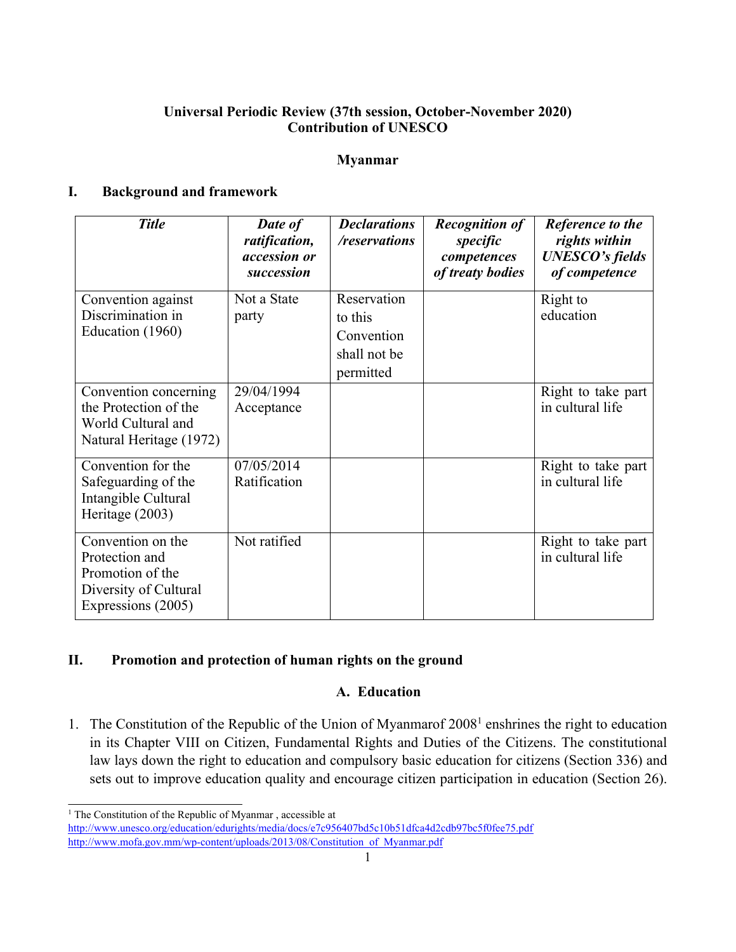# **Universal Periodic Review (37th session, October-November 2020) Contribution of UNESCO**

#### **Myanmar**

# **I. Background and framework**

| <b>Title</b>                                                                                           | Date of<br>ratification,<br>accession or<br>succession | <b>Declarations</b><br>/reservations                              | <b>Recognition of</b><br>specific<br>competences<br>of treaty bodies | Reference to the<br>rights within<br><b>UNESCO's fields</b><br>of competence |
|--------------------------------------------------------------------------------------------------------|--------------------------------------------------------|-------------------------------------------------------------------|----------------------------------------------------------------------|------------------------------------------------------------------------------|
| Convention against<br>Discrimination in<br>Education (1960)                                            | Not a State<br>party                                   | Reservation<br>to this<br>Convention<br>shall not be<br>permitted |                                                                      | Right to<br>education                                                        |
| Convention concerning<br>the Protection of the<br>World Cultural and<br>Natural Heritage (1972)        | 29/04/1994<br>Acceptance                               |                                                                   |                                                                      | Right to take part<br>in cultural life                                       |
| Convention for the<br>Safeguarding of the<br>Intangible Cultural<br>Heritage (2003)                    | 07/05/2014<br>Ratification                             |                                                                   |                                                                      | Right to take part<br>in cultural life                                       |
| Convention on the<br>Protection and<br>Promotion of the<br>Diversity of Cultural<br>Expressions (2005) | Not ratified                                           |                                                                   |                                                                      | Right to take part<br>in cultural life                                       |

# **II. Promotion and protection of human rights on the ground**

# **A. Education**

1. The Constitution of the Republic of the Union of Myanmarof 2008<sup>1</sup> enshrines the right to education in its Chapter VIII on Citizen, Fundamental Rights and Duties of the Citizens. The constitutional law lays down the right to education and compulsory basic education for citizens (Section 336) and sets out to improve education quality and encourage citizen participation in education (Section 26).

<sup>&</sup>lt;sup>1</sup> The Constitution of the Republic of Myanmar, accessible at

<http://www.unesco.org/education/edurights/media/docs/e7c956407bd5c10b51dfca4d2cdb97bc5f0fee75.pdf> [http://www.mofa.gov.mm/wp-content/uploads/2013/08/Constitution\\_of\\_Myanmar.pdf](http://www.mofa.gov.mm/wp-content/uploads/2013/08/Constitution_of_Myanmar.pdf)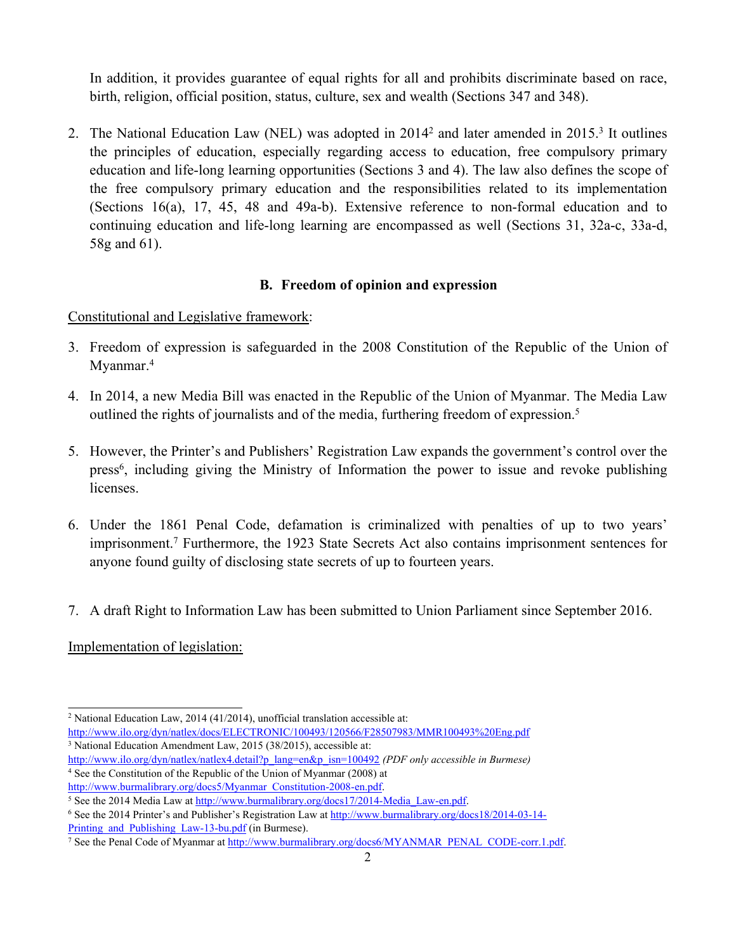In addition, it provides guarantee of equal rights for all and prohibits discriminate based on race, birth, religion, official position, status, culture, sex and wealth (Sections 347 and 348).

2. The National Education Law (NEL) was adopted in 2014<sup>2</sup> and later amended in 2015.<sup>3</sup> It outlines the principles of education, especially regarding access to education, free compulsory primary education and life-long learning opportunities (Sections 3 and 4). The law also defines the scope of the free compulsory primary education and the responsibilities related to its implementation (Sections 16(a), 17, 45, 48 and 49a-b). Extensive reference to non-formal education and to continuing education and life-long learning are encompassed as well (Sections 31, 32a-c, 33a-d, 58g and 61).

# **B. Freedom of opinion and expression**

Constitutional and Legislative framework:

- 3. Freedom of expression is safeguarded in the 2008 Constitution of the Republic of the Union of Myanmar. 4
- 4. In 2014, <sup>a</sup> new Media Bill was enacted in the Republic of the Union of Myanmar. The Media Law outlined the rights of journalists and of the media, furthering freedom of expression. 5
- 5. However, the Printer'<sup>s</sup> and Publishers' Registration Law expands the government'<sup>s</sup> control over the press 6 , including giving the Ministry of Information the power to issue and revoke publishing licenses.
- 6. Under the 1861 Penal Code, defamation is criminalized with penalties of up to two years' imprisonment. 7 Furthermore, the 1923 State Secrets Act also contains imprisonment sentences for anyone found guilty of disclosing state secrets of up to fourteen years.
- 7. A draft Right to Information Law has been submitted to Union Parliament since September 2016.

Implementation of legislation:

<sup>2</sup> National Education Law, 2014 (41/2014), unofficial translation accessible at:

<http://www.ilo.org/dyn/natlex/docs/ELECTRONIC/100493/120566/F28507983/MMR100493%20Eng.pdf>

<sup>3</sup> National Education Amendment Law, 2015 (38/2015), accessible at:

[http://www.ilo.org/dyn/natlex/natlex4.detail?p\\_lang=en&p\\_isn=100492](http://www.ilo.org/dyn/natlex/natlex4.detail?p_lang=en&p_isn=100492) *(PDF only accessible in Burmese)* 4 See the Constitution of the Republic of the Union of Myanmar (2008) at [http://www.burmalibrary.org/docs5/Myanmar\\_Constitution-2008-en.pdf](http://www.burmalibrary.org/docs5/Myanmar_Constitution-2008-en.pdf).

<sup>&</sup>lt;sup>5</sup> See the 2014 Media Law at [http://www.burmalibrary.org/docs17/2014-Media\\_Law-en.pdf](http://www.burmalibrary.org/docs17/2014-Media_Law-en.pdf).

<sup>6</sup> See the 2014 Printer'<sup>s</sup> and Publisher'<sup>s</sup> Registration Law at [http://www.burmalibrary.org/docs18/2014-03-14-](http://www.burmalibrary.org/docs18/2014-03-14-Printing_and_Publishing_Law-13-bu.pdf)

Printing and Publishing Law-13-bu.pdf (in Burmese).

<sup>&</sup>lt;sup>7</sup> See the Penal Code of Myanmar at [http://www.burmalibrary.org/docs6/MYANMAR\\_PENAL\\_CODE-corr.1.pdf](http://www.burmalibrary.org/docs6/MYANMAR_PENAL_CODE-corr.1.pdf).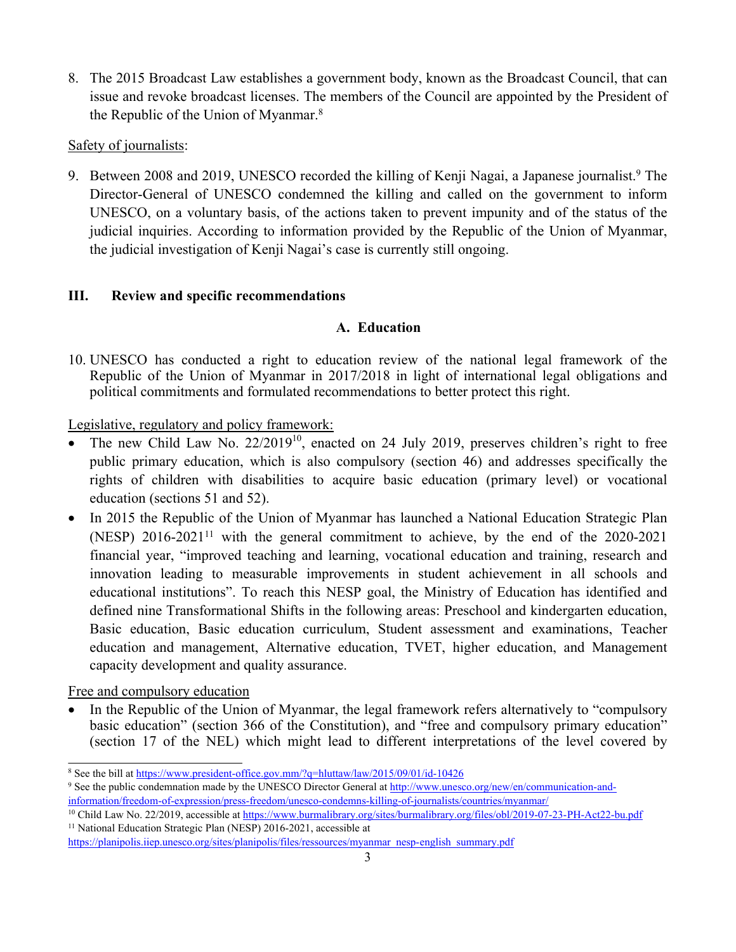8. The 2015 Broadcast Law establishes <sup>a</sup> governmen<sup>t</sup> body, known as the Broadcast Council, that can issue and revoke broadcast licenses. The members of the Council are appointed by the President of the Republic of the Union of Myanmar. 8

# Safety of journalists:

9. Between 2008 and 2019, UNESCO recorded the killing of Kenji Nagai, a Japanese journalist.<sup>9</sup> The Director-General of UNESCO condemned the killing and called on the governmen<sup>t</sup> to inform UNESCO, on <sup>a</sup> voluntary basis, of the actions taken to preven<sup>t</sup> impunity and of the status of the judicial inquiries. According to information provided by the Republic of the Union of Myanmar, the judicial investigation of Kenji Nagai'<sup>s</sup> case is currently still ongoing.

# **III. Review and specific recommendations**

# **A. Education**

10. UNESCO has conducted <sup>a</sup> right to education review of the national legal framework of the Republic of the Union of Myanmar in 2017/2018 in light of international legal obligations and political commitments and formulated recommendations to better protect this right.

Legislative, regulatory and policy framework:

- . • The new Child Law No.  $22/2019^{10}$ , enacted on 24 July 2019, preserves children's right to free public primary education, which is also compulsory (section 46) and addresses specifically the rights of children with disabilities to acquire basic education (primary level) or vocational education (sections 51 and 52).
- $\bullet$  In 2015 the Republic of the Union of Myanmar has launched <sup>a</sup> National Education Strategic Plan (NESP)  $2016-2021^{11}$  with the general commitment to achieve, by the end of the  $2020-2021$ financial year, "improved teaching and learning, vocational education and training, research and innovation leading to measurable improvements in student achievement in all schools and educational institutions". To reach this NESP goal, the Ministry of Education has identified and defined nine Transformational Shifts in the following areas: Preschool and kindergarten education, Basic education, Basic education curriculum, Student assessment and examinations, Teacher education and management, Alternative education, TVET, higher education, and Management capacity development and quality assurance.

Free and compulsory education

. In the Republic of the Union of Myanmar, the legal framework refers alternatively to "compulsory basic education" (section 366 of the Constitution), and "free and compulsory primary education" (section 17 of the NEL) which might lead to different interpretations of the level covered by

<sup>9</sup> See the public condemnation made by the UNESCO Director General at [http://www.unesco.org/new/en/communication-and](http://www.unesco.org/new/en/communication-and-information/freedom-of-expression/press-freedom/unesco-condemns-killing-of-journalists/countries/myanmar/)[information/freedom-of-expression/press-freedom/unesco-condemns-killing-of-journalists/countries/myanmar/](http://www.unesco.org/new/en/communication-and-information/freedom-of-expression/press-freedom/unesco-condemns-killing-of-journalists/countries/myanmar/)

<sup>&</sup>lt;sup>8</sup> See the bill at <https://www.president-office.gov.mm/?q=hluttaw/law/2015/09/01/id-10426>

<sup>10</sup> Child Law No. 22/2019, accessible at <https://www.burmalibrary.org/sites/burmalibrary.org/files/obl/2019-07-23-PH-Act22-bu.pdf> <sup>11</sup> National Education Strategic Plan (NESP) 2016-2021, accessible at

[https://planipolis.iiep.unesco.org/sites/planipolis/files/ressources/myanmar\\_nesp-english\\_summary.pdf](https://planipolis.iiep.unesco.org/sites/planipolis/files/ressources/myanmar_nesp-english_summary.pdf)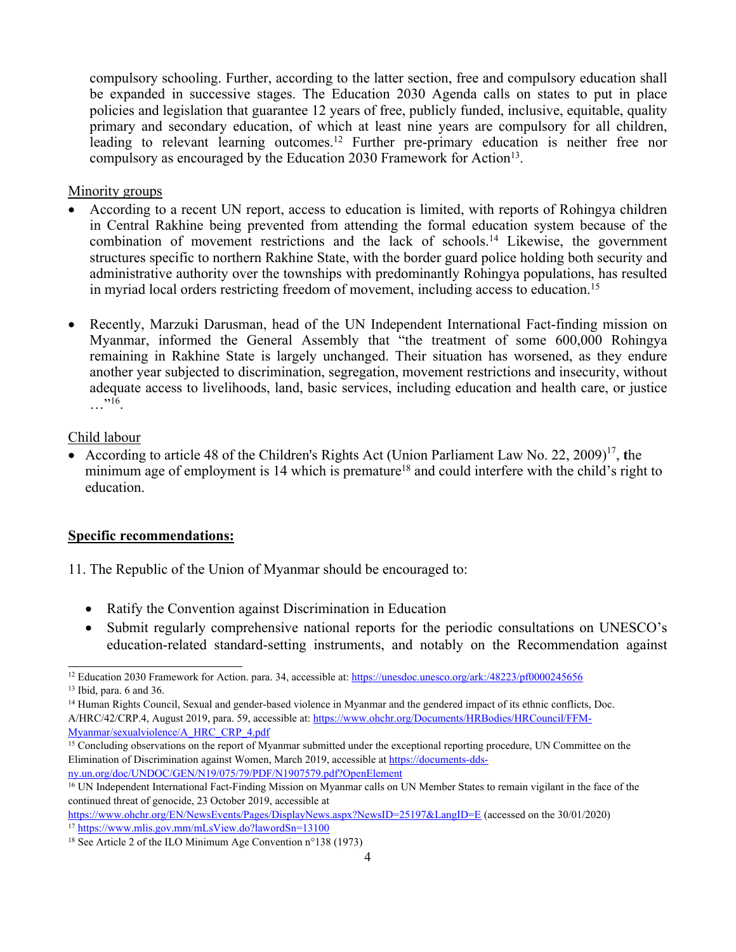compulsory schooling. Further, according to the latter section, free and compulsory education shall be expanded in successive stages. The Education 2030 Agenda calls on states to pu<sup>t</sup> in place policies and legislation that guarantee 12 years of free, publicly funded, inclusive, equitable, quality primary and secondary education, of which at least nine years are compulsory for all children, leading to relevant learning outcomes.<sup>12</sup> Further pre-primary education is neither free nor compulsory as encouraged by the Education 2030 Framework for Action $^{13}$ .

#### Minority groups

- 0 According to <sup>a</sup> recent UN report, access to education is limited, with reports of Rohingya children in Central Rakhine being prevented from attending the formal education system because of the combination of movement restrictions and the lack of schools. 14 Likewise, the governmen<sup>t</sup> structures specific to northern Rakhine State, with the border guard police holding both security and administrative authority over the townships with predominantly Rohingya populations, has resulted in myriad local orders restricting freedom of movement, including access to education. 15
- $\bullet$  Recently, Marzuki Darusman, head of the UN Independent International Fact-finding mission on Myanmar, informed the General Assembly that "the treatment of some 600,000 Rohingya remaining in Rakhine State is largely unchanged. Their situation has worsened, as they endure another year subjected to discrimination, segregation, movement restrictions and insecurity, without adequate access to livelihoods, land, basic services, including education and health care, or justice  $\ldots$  "16.

#### Child labour

• According to article 48 of the Children's Rights Act (Union Parliament Law No. 22, 2009)<sup>17</sup>, the minimum age of employment is 14 which is premature<sup>18</sup> and could interfere with the child's right to education.

#### **Specific recommendations:**

- 11. The Republic of the Union of Myanmar should be encouraged to:
	- Ratify the Convention against Discrimination in Education
	- $\bullet$  Submit regularly comprehensive national reports for the periodic consultations on UNESCO'<sup>s</sup> education-related standard-setting instruments, and notably on the Recommendation against

[ny.un.org/doc/UNDOC/GEN/N19/075/79/PDF/N1907579.pdf?OpenElement](https://documents-dds-ny.un.org/doc/UNDOC/GEN/N19/075/79/PDF/N1907579.pdf?OpenElement)

<sup>&</sup>lt;sup>12</sup> Education 2030 Framework for Action. para. 34, accessible at: <https://unesdoc.unesco.org/ark:/48223/pf0000245656>

<sup>13</sup> Ibid, para. 6 and 36.

<sup>&</sup>lt;sup>14</sup> Human Rights Council, Sexual and gender-based violence in Myanmar and the gendered impact of its ethnic conflicts, Doc. A/HRC/42/CRP.4, August 2019, para. 59, accessible at: [https://www.ohchr.org/Documents/HRBodies/HRCouncil/FFM-](https://www.ohchr.org/Documents/HRBodies/HRCouncil/FFM-Myanmar/sexualviolence/A_HRC_CRP_4.pdf)[Myanmar/sexualviolence/A\\_HRC\\_CRP\\_4.pdf](https://www.ohchr.org/Documents/HRBodies/HRCouncil/FFM-Myanmar/sexualviolence/A_HRC_CRP_4.pdf)

<sup>&</sup>lt;sup>15</sup> Concluding observations on the report of Myanmar submitted under the exceptional reporting procedure, UN Committee on the Elimination of Discrimination against Women, March 2019, accessible at [https://documents-dds-](https://documents-dds-ny.un.org/doc/UNDOC/GEN/N19/075/79/PDF/N1907579.pdf?OpenElement)

<sup>&</sup>lt;sup>16</sup> UN Independent International Fact-Finding Mission on Myanmar calls on UN Member States to remain vigilant in the face of the continued threat of genocide, 23 October 2019, accessible at

<https://www.ohchr.org/EN/NewsEvents/Pages/DisplayNews.aspx?NewsID=25197&LangID=E> (accessed on the 30/01/2020) <sup>17</sup> <https://www.mlis.gov.mm/mLsView.do?lawordSn=13100>

<sup>18</sup> See Article 2 of the ILO Minimum Age Convention <sup>n</sup>°138 (1973)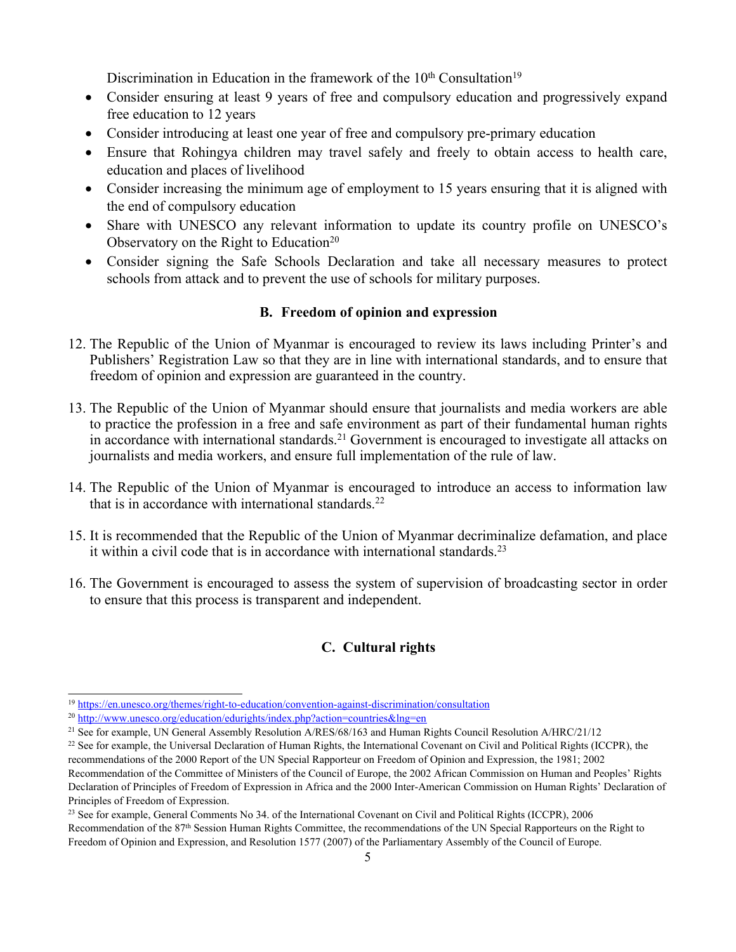Discrimination in Education in the framework of the  $10<sup>th</sup>$  Consultation<sup>19</sup>

- Consider ensuring at least 9 years of free and compulsory education and progressively expand free education to 12 years
- Consider introducing at least one year of free and compulsory pre-primary education
- Ensure that Rohingya children may travel safely and freely to obtain access to health care, education and places of livelihood
- Consider increasing the minimum age of employment to 15 years ensuring that it is aligned with the end of compulsory education
- Share with UNESCO any relevant information to update its country profile on UNESCO's Observatory on the Right to Education<sup>20</sup>
- Consider signing the Safe Schools Declaration and take all necessary measures to protect schools from attack and to preven<sup>t</sup> the use of schools for military purposes.

#### **B. Freedom of opinion and expression**

- 12. The Republic of the Union of Myanmar is encouraged to review its laws including Printer'<sup>s</sup> and Publishers' Registration Law so that they are in line with international standards, and to ensure that freedom of opinion and expression are guaranteed in the country.
- 13. The Republic of the Union of Myanmar should ensure that journalists and media workers are able to practice the profession in <sup>a</sup> free and safe environment as par<sup>t</sup> of their fundamental human rights in accordance with international standards. <sup>21</sup> Government is encouraged to investigate all attacks on journalists and media workers, and ensure full implementation of the rule of law.
- 14. The Republic of the Union of Myanmar is encouraged to introduce an access to information law that is in accordance with international standards.<sup>22</sup>
- 15. It is recommended that the Republic of the Union of Myanmar decriminalize defamation, and place it within a civil code that is in accordance with international standards.<sup>23</sup>
- 16. The Government is encouraged to assess the system of supervision of broadcasting sector in order to ensure that this process is transparent and independent.

# **C. Cultural rights**

<sup>19</sup> <https://en.unesco.org/themes/right-to-education/convention-against-discrimination/consultation>

<sup>&</sup>lt;sup>20</sup> <http://www.unesco.org/education/edurights/index.php?action=countries&lng=en>

<sup>&</sup>lt;sup>21</sup> See for example, UN General Assembly Resolution A/RES/68/163 and Human Rights Council Resolution A/HRC/21/12

<sup>&</sup>lt;sup>22</sup> See for example, the Universal Declaration of Human Rights, the International Covenant on Civil and Political Rights (ICCPR), the recommendations of the 2000 Report of the UN Special Rapporteur on Freedom of Opinion and Expression, the 1981; 2002 Recommendation of the Committee of Ministers of the Council of Europe, the 2002 African Commission on Human and Peoples' Rights Declaration of Principles of Freedom of Expression in Africa and the 2000 Inter-American Commission on Human Rights' Declaration of Principles of Freedom of Expression.

<sup>&</sup>lt;sup>23</sup> See for example, General Comments No 34. of the International Covenant on Civil and Political Rights (ICCPR), 2006 Recommendation of the 87<sup>th</sup> Session Human Rights Committee, the recommendations of the UN Special Rapporteurs on the Right to Freedom of Opinion and Expression, and Resolution 1577 (2007) of the Parliamentary Assembly of the Council of Europe.